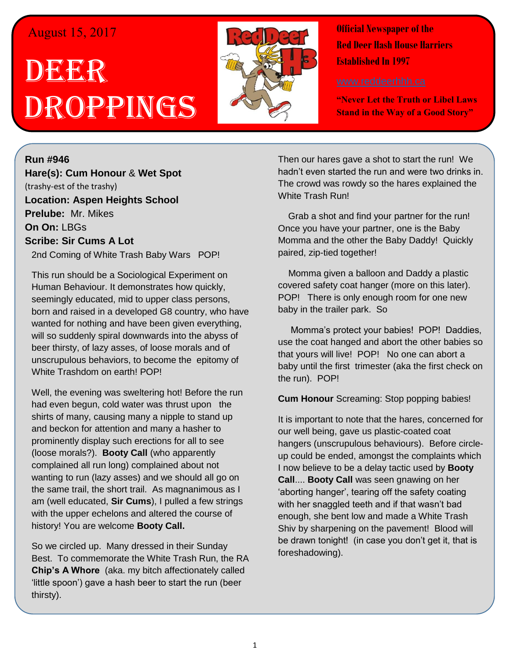## August 15, 2017

## DEER Droppings



**Official Newspaper of the Red Deer Hash House Harriers Established In 1997** 

**"Never Let the Truth or Libel Laws Stand in the Way of a Good Story"**

**Run #946 Hare(s): Cum Honour** & **Wet Spot** (trashy-est of the trashy) **Location: Aspen Heights School Prelube:** Mr. Mikes **On On:** LBGs **Scribe: Sir Cums A Lot**

2nd Coming of White Trash Baby Wars POP!

This run should be a Sociological Experiment on Human Behaviour. It demonstrates how quickly, seemingly educated, mid to upper class persons, born and raised in a developed G8 country, who have wanted for nothing and have been given everything, will so suddenly spiral downwards into the abyss of beer thirsty, of lazy asses, of loose morals and of unscrupulous behaviors, to become the epitomy of White Trashdom on earth! POP!

Well, the evening was sweltering hot! Before the run had even begun, cold water was thrust upon the shirts of many, causing many a nipple to stand up and beckon for attention and many a hasher to prominently display such erections for all to see (loose morals?). **Booty Call** (who apparently complained all run long) complained about not wanting to run (lazy asses) and we should all go on the same trail, the short trail. As magnanimous as I am (well educated, **Sir Cums**), I pulled a few strings with the upper echelons and altered the course of history! You are welcome **Booty Call.**

So we circled up. Many dressed in their Sunday Best. To commemorate the White Trash Run, the RA **Chip's A Whore** (aka. my bitch affectionately called 'little spoon') gave a hash beer to start the run (beer thirsty).

Then our hares gave a shot to start the run! We hadn't even started the run and were two drinks in. The crowd was rowdy so the hares explained the White Trash Run!

 Grab a shot and find your partner for the run! Once you have your partner, one is the Baby Momma and the other the Baby Daddy! Quickly paired, zip-tied together!

 Momma given a balloon and Daddy a plastic covered safety coat hanger (more on this later). POP! There is only enough room for one new baby in the trailer park. So

 Momma's protect your babies! POP! Daddies, use the coat hanged and abort the other babies so that yours will live! POP! No one can abort a baby until the first trimester (aka the first check on the run). POP!

**Cum Honour** Screaming: Stop popping babies!

It is important to note that the hares, concerned for our well being, gave us plastic-coated coat hangers (unscrupulous behaviours). Before circleup could be ended, amongst the complaints which I now believe to be a delay tactic used by **Booty Call**.... **Booty Call** was seen gnawing on her 'aborting hanger', tearing off the safety coating with her snaggled teeth and if that wasn't bad enough, she bent low and made a White Trash Shiv by sharpening on the pavement! Blood will be drawn tonight! (in case you don't get it, that is foreshadowing).